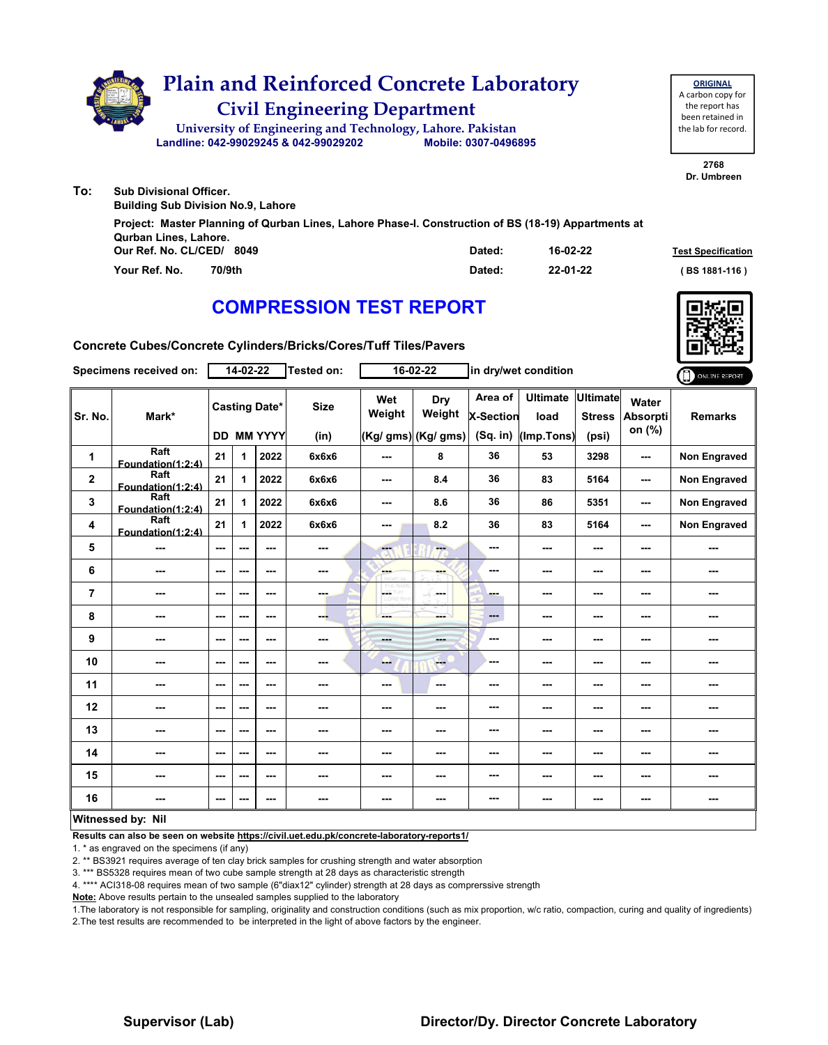|     | <b>Plain and Reinforced Concrete Laboratory</b><br><b>Civil Engineering Department</b><br>University of Engineering and Technology, Lahore. Pakistan<br>Landline: 042-99029245 & 042-99029202<br>Mobile: 0307-0496895 | <b>ORIGINAL</b><br>A carbon copy for<br>the report has<br>been retained in<br>the lab for record. |
|-----|-----------------------------------------------------------------------------------------------------------------------------------------------------------------------------------------------------------------------|---------------------------------------------------------------------------------------------------|
| To: |                                                                                                                                                                                                                       | 2768<br>Dr. Umbreen                                                                               |
|     | <b>Sub Divisional Officer.</b><br><b>Building Sub Division No.9, Lahore</b>                                                                                                                                           |                                                                                                   |
|     | Project: Master Planning of Qurban Lines, Lahore Phase-I. Construction of BS (18-19) Appartments at                                                                                                                   |                                                                                                   |

| Qurban Lines, Lahore.     |        |          |                           |
|---------------------------|--------|----------|---------------------------|
| Our Ref. No. CL/CED/ 8049 | Dated: | 16-02-22 | <b>Test Specification</b> |
| 70/9th<br>Your Ref. No.   | Dated: | 22-01-22 | (BS 1881-116)             |

## **COMPRESSION TEST REPORT**

**Concrete Cubes/Concrete Cylinders/Bricks/Cores/Tuff Tiles/Pavers**

|                | Specimens received on:    |         | $14 - 02 - 22$           |                                           | Tested on:          |                           | 16-02-22                                  |                                           | in dry/wet condition                  |                                    |                                    | ONLINE REPORT       |
|----------------|---------------------------|---------|--------------------------|-------------------------------------------|---------------------|---------------------------|-------------------------------------------|-------------------------------------------|---------------------------------------|------------------------------------|------------------------------------|---------------------|
| Sr. No.        | Mark*                     |         |                          | <b>Casting Date*</b><br><b>DD MM YYYY</b> | <b>Size</b><br>(in) | Wet<br>Weight             | Dry<br>Weight<br>$ (Kg/gms) $ $(Kg/gms) $ | Area of<br><b>X-Section</b><br>$(Sq.$ in) | <b>Ultimate</b><br>load<br>(Imp.Tons) | Ultimate<br><b>Stress</b><br>(psi) | Water<br><b>Absorpti</b><br>on (%) | <b>Remarks</b>      |
| 1              | Raft<br>Foundation(1:2:4) | 21      | $\mathbf{1}$             | 2022                                      | 6x6x6               | $- - -$                   | 8                                         | 36                                        | 53                                    | 3298                               | $\sim$                             | Non Engraved        |
| $\mathbf 2$    | Raft<br>Foundation(1:2:4) | 21      | 1                        | 2022                                      | 6x6x6               | ---                       | 8.4                                       | 36                                        | 83                                    | 5164                               | $\sim$                             | <b>Non Engraved</b> |
| 3              | Raft<br>Foundation(1:2:4) | 21      | $\mathbf{1}$             | 2022                                      | 6x6x6               | ---                       | 8.6                                       | 36                                        | 86                                    | 5351                               | $\sim$                             | <b>Non Engraved</b> |
| 4              | Raft<br>Foundation(1:2:4) | 21      | 1                        | 2022                                      | 6x6x6               | $--$                      | 8.2                                       | 36                                        | 83                                    | 5164                               | $\sim$ $\sim$                      | Non Engraved        |
| 5              | ---                       | ---     | $\sim$ $\sim$            | ---                                       | ---                 | ---                       | $-$                                       | ---                                       | ---                                   | ---                                | $- - -$                            | ---                 |
| 6              | ---                       | ---     | ---                      | ---                                       | ---                 | <b>SHOP</b>               | ---                                       | ---                                       | ---                                   | ---                                | ---                                |                     |
| $\overline{7}$ | ---                       | ---     | ---                      | ---                                       |                     | <b>LOE</b> THY<br>TORO YO | ---                                       | ---                                       | ---                                   | ---                                | ---                                | ---                 |
| 8              | ---                       | $- - -$ | $- - -$                  | $- - -$                                   | ---                 | ---                       | ---                                       | $\qquad \qquad \cdots$                    | ---                                   | ---                                | $\sim$ $\sim$                      | ---                 |
| 9              | ---                       | ---     | ---                      | ---                                       | ---                 | <b>Basic</b>              | <b>BOOK</b>                               | ---                                       | ---                                   | ---                                | ---                                | ---                 |
| 10             | ---                       | ---     | ---                      | $--$                                      | ---                 | --                        | ---                                       | ---                                       | ---                                   | ---                                | ---                                |                     |
| 11             | ---                       | $--$    | ---                      | $--$                                      | ---                 | ---                       | $\overline{\phantom{a}}$                  | ---                                       | ---                                   | ---                                | ---                                | ---                 |
| 12             | ---                       | $--$    | $\overline{\phantom{a}}$ | $--$                                      | ---                 | ---                       | ---                                       | ---                                       | ---                                   | ---                                | ---                                | ---                 |
| 13             | ---                       | ---     | ---                      | ---                                       | ---                 | ---                       | ---                                       | ---                                       | ---                                   | ---                                | ---                                | ---                 |
| 14             | ---                       | $--$    | $\overline{\phantom{a}}$ | ---                                       | ---                 | ---                       | ---                                       | ---                                       | ---                                   | ---                                | ---                                | ---                 |
| 15             | ---                       | $--$    | ---                      | ---                                       | ---                 | ---                       | ---                                       | ---                                       | ---                                   | ---                                | ---                                | ---                 |
| 16             | ---                       | $--$    | ---                      | $--$                                      | ---                 | ---                       | ---                                       | ---                                       | ---                                   | ---                                | $\sim$                             |                     |
|                | Witnessed by: Nil         |         |                          |                                           |                     |                           |                                           |                                           |                                       |                                    |                                    |                     |

### **Witnessed by: Nil**

**Results can also be seen on website https://civil.uet.edu.pk/concrete-laboratory-reports1/**

1. \* as engraved on the specimens (if any)

2. \*\* BS3921 requires average of ten clay brick samples for crushing strength and water absorption

3. \*\*\* BS5328 requires mean of two cube sample strength at 28 days as characteristic strength

4. \*\*\*\* ACI318-08 requires mean of two sample (6"diax12" cylinder) strength at 28 days as comprerssive strength

**Note:** Above results pertain to the unsealed samples supplied to the laboratory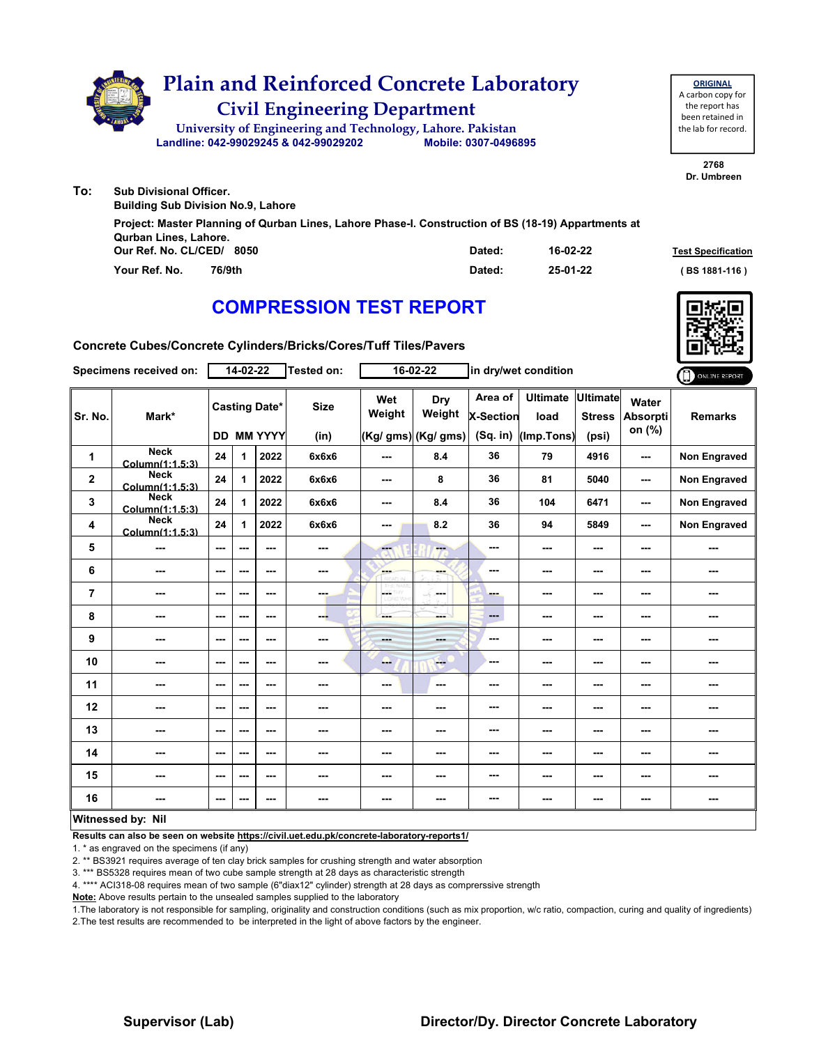|     | <b>Plain and Reinforced Concrete Laboratory</b><br><b>Civil Engineering Department</b><br>University of Engineering and Technology, Lahore. Pakistan<br>Landline: 042-99029245 & 042-99029202 | Mobile: 0307-0496895 | <b>ORIGINAL</b><br>A carbon copy for<br>the report has<br>been retained in<br>the lab for record. |
|-----|-----------------------------------------------------------------------------------------------------------------------------------------------------------------------------------------------|----------------------|---------------------------------------------------------------------------------------------------|
| To: | <b>Sub Divisional Officer.</b>                                                                                                                                                                |                      | 2768<br>Dr. Umbreen                                                                               |
|     | <b>Building Sub Division No.9, Lahore</b><br>Project: Master Planning of Qurban Lines, Lahore Phase-I. Construction of BS (18-19) Appartments at                                              |                      |                                                                                                   |

| Qurban Lines, Lahore.     |        |          |                           |  |  |  |  |  |
|---------------------------|--------|----------|---------------------------|--|--|--|--|--|
| Our Ref. No. CL/CED/ 8050 | Dated: | 16-02-22 | <b>Test Specification</b> |  |  |  |  |  |
| 76/9th<br>Your Ref. No.   | Dated: | 25-01-22 | (BS 1881-116)             |  |  |  |  |  |

## **COMPRESSION TEST REPORT**

**Concrete Cubes/Concrete Cylinders/Bricks/Cores/Tuff Tiles/Pavers**

|                  | Specimens received on:         |                          | $14 - 02 - 22$ |                                        | Tested on:          |                          | 16-02-22                             |                                         | in dry/wet condition                  |                                           |                                    | ONLINE REPORT       |
|------------------|--------------------------------|--------------------------|----------------|----------------------------------------|---------------------|--------------------------|--------------------------------------|-----------------------------------------|---------------------------------------|-------------------------------------------|------------------------------------|---------------------|
| Sr. No.          | Mark*                          | <b>DD</b>                |                | <b>Casting Date*</b><br><b>MM YYYY</b> | <b>Size</b><br>(in) | Wet<br>Weight            | Dry<br>Weight<br>(Kg/ gms) (Kg/ gms) | Area of<br><b>X-Section</b><br>(Sq. in) | <b>Ultimate</b><br>load<br>(Imp.Tons) | <b>Ultimate</b><br><b>Stress</b><br>(psi) | Water<br><b>Absorpti</b><br>on (%) | <b>Remarks</b>      |
| 1                | <b>Neck</b><br>Column(1:1.5:3) | 24                       | $\mathbf{1}$   | 2022                                   | 6x6x6               | $\overline{\phantom{a}}$ | 8.4                                  | 36                                      | 79                                    | 4916                                      | ---                                | <b>Non Engraved</b> |
| $\boldsymbol{2}$ | <b>Neck</b><br>Column(1:1.5:3) | 24                       | 1              | 2022                                   | 6x6x6               | $\overline{\phantom{a}}$ | 8                                    | 36                                      | 81                                    | 5040                                      | ---                                | <b>Non Engraved</b> |
| 3                | <b>Neck</b><br>Column(1:1.5:3) | 24                       | $\mathbf 1$    | 2022                                   | 6x6x6               | ---                      | 8.4                                  | 36                                      | 104                                   | 6471                                      | $\sim$ $\sim$                      | <b>Non Engraved</b> |
| 4                | <b>Neck</b><br>Column(1:1.5:3) | 24                       | $\mathbf{1}$   | 2022                                   | 6x6x6               | ---                      | 8.2                                  | 36                                      | 94                                    | 5849                                      | ---                                | <b>Non Engraved</b> |
| 5                | ---                            | ---                      | $\sim$         | ---                                    | ---                 | $\overline{\mathbf{a}}$  | ---                                  | ---                                     | ---                                   | ---                                       | ---                                |                     |
| 6                | ---                            | ---                      | ---            | ---                                    | ---                 | <b>AMP</b>               | ---                                  | ---                                     | ---                                   | ---                                       | ---                                | ---                 |
| $\overline{7}$   | ---                            | ---                      | ---            | $- - -$                                | ---                 | ÷                        | <b>Security</b>                      | ---                                     | ---                                   | $- - -$                                   | ---                                | ---                 |
| 8                | ---                            | ---                      | $\sim$ $\sim$  | $--$                                   | ---                 | ---                      | ---                                  | ---                                     | ---                                   | $\sim$ $\sim$                             | ---                                | ---                 |
| 9                | ---                            | ---                      | ---            | ---                                    | ---                 | <b>Bank</b>              | ---                                  | ---                                     | ---                                   | $\overline{\phantom{a}}$                  | ---                                | ---                 |
| 10               | ---                            | ---                      | ---            | ---                                    | ---                 | --                       | <b>Here</b>                          | ---                                     | ---                                   | $\overline{\phantom{a}}$                  | ---                                |                     |
| 11               | ---                            | ---                      | ---            | ---                                    | ---                 | $\overline{\phantom{a}}$ | ---                                  | ---                                     | ---                                   | $\overline{\phantom{a}}$                  | ---                                | ---                 |
| 12               | ---                            | $\overline{\phantom{a}}$ | ---            | ---                                    | ---                 | ---                      | ---                                  | ---                                     | ---                                   | ---                                       | ---                                | ---                 |
| 13               | ---                            | ---                      | ---            | ---                                    | ---                 | ---                      | ---                                  | ---                                     | ---                                   | ---                                       | ---                                | ---                 |
| 14               | ---                            | ---                      | $\sim$ $\sim$  | $--$                                   | ---                 | ---                      | ---                                  | ---                                     | ---                                   | ---                                       | ---                                | ---                 |
| 15               | ---                            | ---                      | $\sim$         | ---                                    | ---                 | ---                      | ---                                  | ---                                     | ---                                   | ---                                       | ---                                | ---                 |
| 16               | ---                            | ---                      | ---            | ---                                    | ---                 | ---                      | ---                                  | ---                                     | ---                                   | ---                                       | ---                                | ---                 |
|                  | <b>Witnessed by: Nil</b>       |                          |                |                                        |                     |                          |                                      |                                         |                                       |                                           |                                    |                     |

### **Witnessed by: Nil**

**Results can also be seen on website https://civil.uet.edu.pk/concrete-laboratory-reports1/**

1. \* as engraved on the specimens (if any)

2. \*\* BS3921 requires average of ten clay brick samples for crushing strength and water absorption

3. \*\*\* BS5328 requires mean of two cube sample strength at 28 days as characteristic strength

4. \*\*\*\* ACI318-08 requires mean of two sample (6"diax12" cylinder) strength at 28 days as comprerssive strength

**Note:** Above results pertain to the unsealed samples supplied to the laboratory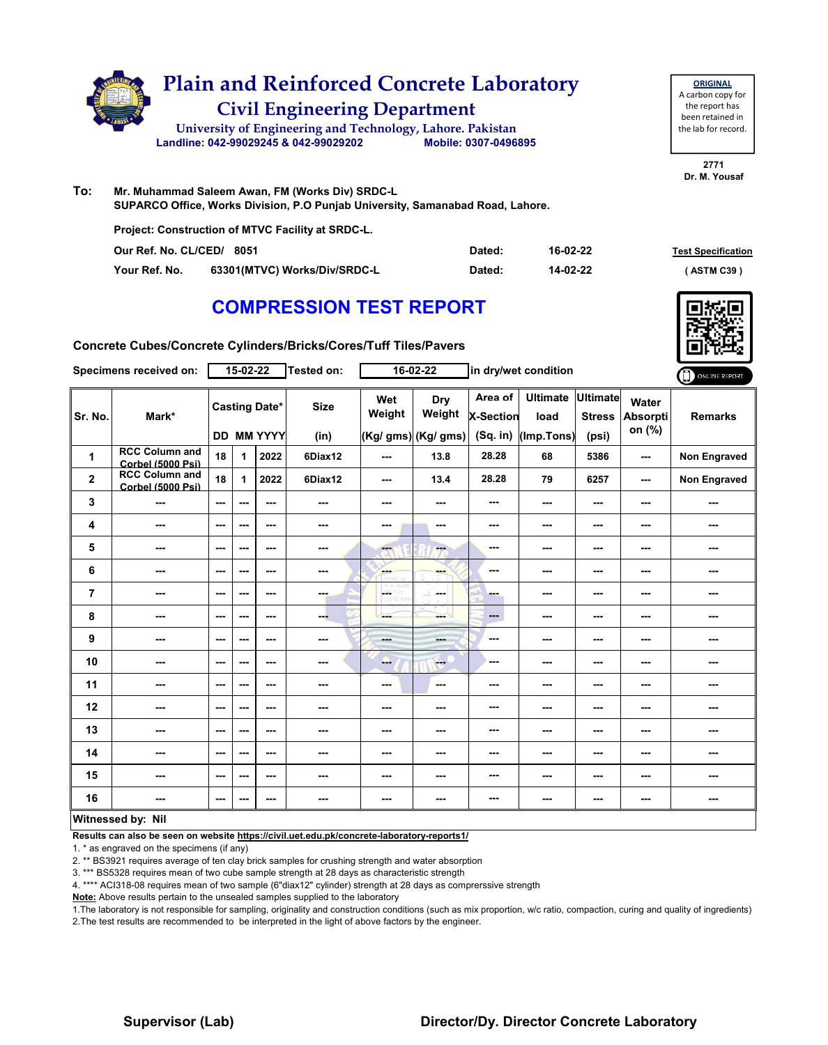

| <b>ORIGINAL</b>     |
|---------------------|
| A carbon copy for   |
| the report has      |
| been retained in    |
| the lab for record. |
|                     |

**2771 Dr. M. Yousaf**

**To: Mr. Muhammad Saleem Awan, FM (Works Div) SRDC-L SUPARCO Office, Works Division, P.O Punjab University, Samanabad Road, Lahore. Project: Construction of MTVC Facility at SRDC-L.**

| Our Ref. No. CL/CED/ 8051 |                              | Dated: | 16-02-22 | <b>Test Specification</b> |
|---------------------------|------------------------------|--------|----------|---------------------------|
| Your Ref. No.             | 63301(MTVC) Works/Div/SRDC-L | Dated: | 14-02-22 | (ASTM C39)                |

## **COMPRESSION TEST REPORT**

**Concrete Cubes/Concrete Cylinders/Bricks/Cores/Tuff Tiles/Pavers**

|                | Specimens received on:                     |               | 15-02-22 |                                           | Tested on:          |                                | 16-02-22                             |                                         | in dry/wet condition                  |                                           |                                    | ONLINE REPORT       |
|----------------|--------------------------------------------|---------------|----------|-------------------------------------------|---------------------|--------------------------------|--------------------------------------|-----------------------------------------|---------------------------------------|-------------------------------------------|------------------------------------|---------------------|
| Sr. No.        | Mark*                                      |               |          | <b>Casting Date*</b><br><b>DD MM YYYY</b> | <b>Size</b><br>(in) | Wet<br>Weight                  | Dry<br>Weight<br>(Kg/ gms) (Kg/ gms) | Area of<br><b>X-Section</b><br>(Sq. in) | <b>Ultimate</b><br>load<br>(Imp.Tons) | <b>Ultimate</b><br><b>Stress</b><br>(psi) | Water<br><b>Absorpti</b><br>on (%) | <b>Remarks</b>      |
| 1              | <b>RCC Column and</b><br>Corbel (5000 Psi) | 18            | 1        | 2022                                      | 6Diax12             | ---                            | 13.8                                 | 28.28                                   | 68                                    | 5386                                      | ---                                | Non Engraved        |
| $\mathbf{2}$   | <b>RCC Column and</b><br>Corbel (5000 Psi) | 18            | 1        | 2022                                      | 6Diax12             | ---                            | 13.4                                 | 28.28                                   | 79                                    | 6257                                      | ---                                | <b>Non Engraved</b> |
| 3              | ---                                        | ---           | ---      | $--$                                      | ---                 | ---                            |                                      | ---                                     | ---                                   | ---                                       | ---                                | ---                 |
| 4              | ---                                        | ---           | ---      | ---                                       | ---                 | ---                            | ---                                  | ---                                     | ---                                   | ---                                       | ---                                | ---                 |
| 5              | ---                                        | $--$          | ---      | $--$                                      | ---                 | ---                            | ---                                  | ---                                     | ---                                   | ---                                       | ---                                | ---                 |
| 6              | ---                                        | ---           | ---      | ---                                       | $\cdots$            | <b>Albert</b><br><b>REPAIR</b> | ---                                  | ---                                     | ---                                   | $--$                                      | ---                                | ---                 |
| $\overline{7}$ | ---                                        | $\sim$ $\sim$ | ---      | $--$                                      | ---                 | <b>LOETHY</b>                  | <b>Service</b>                       | ---                                     | ---                                   | ---                                       | ---                                | ---                 |
| 8              | ---                                        | $- - -$       | ---      | $- - -$                                   | ---                 | ---                            | ---                                  | ---                                     | ---                                   | ---                                       | ---                                | ---                 |
| 9              | ---                                        | $\sim$ $\sim$ | ---      | ---                                       | ---                 | <b>Basic</b>                   | ---                                  | ---                                     | ---                                   | ---                                       | ---                                | ---                 |
| 10             | $\sim$ $\sim$                              | $\sim$ $\sim$ | ---      | ---                                       | ---                 | ---                            | $\frac{1}{2}$                        | ---                                     | ---                                   | ---                                       | ---                                | ---                 |
| 11             | $\sim$                                     | $--$          | ---      | ---                                       | $\sim$              | ---                            | ---                                  | ---                                     | ---                                   | ---                                       | ---                                | ---                 |
| 12             | ---                                        | $--$          | ---      | ---                                       | ---                 | ---                            | ---                                  | ---                                     | ---                                   | ---                                       | ---                                | ---                 |
| 13             | ---                                        | $- - -$       | ---      | ---                                       | ---                 | ---                            | ---                                  | ---                                     | ---                                   | ---                                       | ---                                | ---                 |
| 14             | ---                                        | ---           | ---      | $--$                                      | $\cdots$            | ---                            | ---                                  | ---                                     | ---                                   | $--$                                      | ---                                | ---                 |
| 15             | ---                                        | $--$          | ---      | ---                                       | ---                 | ---                            | ---                                  | ---                                     | ---                                   | ---                                       | ---                                | ---                 |
| 16             | ---                                        | ---           | ---      | ---                                       | ---                 | ---                            | ---                                  | ---                                     | ---                                   | ---                                       | ---                                | ---                 |
|                | Witnessed by: Nil                          |               |          |                                           |                     |                                |                                      |                                         |                                       |                                           |                                    |                     |

### **Witnessed by: Nil**

**Results can also be seen on website https://civil.uet.edu.pk/concrete-laboratory-reports1/**

1. \* as engraved on the specimens (if any)

2. \*\* BS3921 requires average of ten clay brick samples for crushing strength and water absorption

3. \*\*\* BS5328 requires mean of two cube sample strength at 28 days as characteristic strength

4. \*\*\*\* ACI318-08 requires mean of two sample (6"diax12" cylinder) strength at 28 days as comprerssive strength

**Note:** Above results pertain to the unsealed samples supplied to the laboratory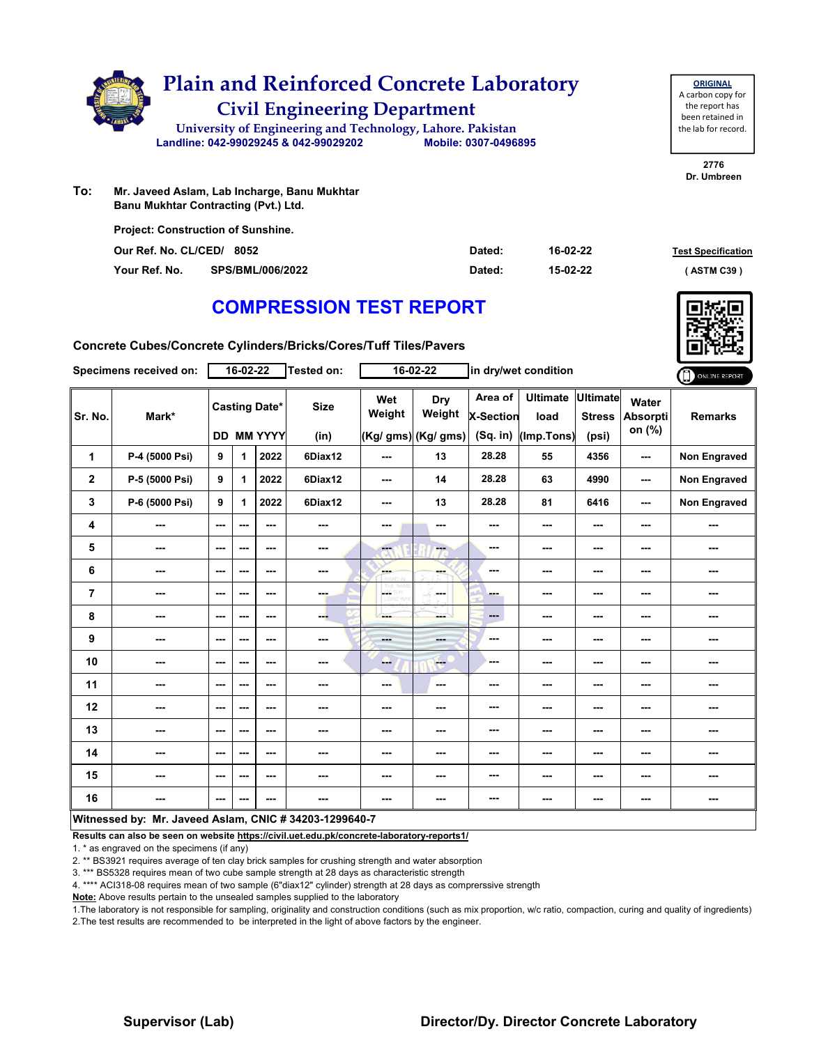

**To: Mr. Javeed Aslam, Lab Incharge, Banu Mukhtar Banu Mukhtar Contracting (Pvt.) Ltd.**

| <b>Project: Construction of Sunshine.</b> |                         |        |          |                           |
|-------------------------------------------|-------------------------|--------|----------|---------------------------|
| Our Ref. No. CL/CED/ 8052                 |                         | Dated: | 16-02-22 | <b>Test Specification</b> |
| Your Ref. No.                             | <b>SPS/BML/006/2022</b> | Dated: | 15-02-22 | (ASTM C39)                |

## **COMPRESSION TEST REPORT**



**2776 Dr. Umbreen**

**ORIGINAL** A carbon copy for the report has been retained in the lab for record.

**Concrete Cubes/Concrete Cylinders/Bricks/Cores/Tuff Tiles/Pavers**

|              | Specimens received on:                                 |               | 16-02-22      |                                    | Tested on:               |                      | 16-02-22                             |                                           | in dry/wet condition                  |                                           |                                    | ONLINE REPORT       |
|--------------|--------------------------------------------------------|---------------|---------------|------------------------------------|--------------------------|----------------------|--------------------------------------|-------------------------------------------|---------------------------------------|-------------------------------------------|------------------------------------|---------------------|
| Sr. No.      | Mark*                                                  |               |               | <b>Casting Date*</b><br>DD MM YYYY | <b>Size</b><br>(in)      | Wet<br>Weight        | Dry<br>Weight<br>(Kg/ gms) (Kg/ gms) | Area of<br><b>X-Section</b><br>$(Sq.$ in) | <b>Ultimate</b><br>load<br>(Imp.Tons) | <b>Ultimate</b><br><b>Stress</b><br>(psi) | Water<br><b>Absorpti</b><br>on (%) | <b>Remarks</b>      |
| 1            | P-4 (5000 Psi)                                         | 9             | 1             | 2022                               | 6Diax12                  | ---                  | 13                                   | 28.28                                     | 55                                    | 4356                                      | ---                                | Non Engraved        |
| $\mathbf{2}$ | P-5 (5000 Psi)                                         | 9             | 1             | 2022                               | 6Diax12                  | ---                  | 14                                   | 28.28                                     | 63                                    | 4990                                      | ---                                | Non Engraved        |
| 3            | P-6 (5000 Psi)                                         | 9             | 1             | 2022                               | 6Diax12                  | ---                  | 13                                   | 28.28                                     | 81                                    | 6416                                      | $\sim$                             | <b>Non Engraved</b> |
| 4            | ---                                                    | $\sim$ $\sim$ | ---           | ---                                | ---                      | ---                  | ---                                  | $\overline{\phantom{a}}$                  | ---                                   | ---                                       | ---                                | ---                 |
| 5            | ---                                                    | $\sim$ $\sim$ | ---           | ---                                | ---                      | ---                  | ---                                  | $- - -$                                   | ---                                   | ---                                       | ---                                | ---                 |
| 6            | $\sim$ $\sim$                                          | $- - -$       | ---           | ---                                | $- - -$                  | ---<br><b>Zatram</b> | ---                                  | $\overline{\phantom{a}}$                  | ---                                   | ---                                       | ---                                | ---                 |
| 7            | ---                                                    | $\sim$ $\sim$ | ---           | $\overline{\phantom{a}}$           | man.                     | $\frac{1}{100}$<br>w | ---                                  | -                                         | ---                                   | ---                                       | ---                                | ---                 |
| 8            | ---                                                    | $\sim$        | ---           | $\overline{\phantom{a}}$           | ---                      | ---                  | ment.                                | $\cdots$                                  | ---                                   | ---                                       | ---                                | ---                 |
| 9            | ---                                                    | $\sim$        | ---           | ---                                | ---                      | ---                  | ---                                  | $-$                                       | ---                                   | ---                                       | ---                                | ---                 |
| 10           | $\overline{\phantom{a}}$                               | $\sim$ $\sim$ | $\sim$ $\sim$ | $\overline{\phantom{a}}$           | ---                      | --                   | $-$                                  | ---                                       | ---                                   | ---                                       | ---                                | ---                 |
| 11           | ---                                                    | $\sim$ $\sim$ | ---           | ---                                | ---                      | ---                  | $- - -$                              | ---                                       | ---                                   | ---                                       | ---                                | ---                 |
| 12           | ---                                                    | $\sim$ $\sim$ | ---           | $\overline{\phantom{a}}$           | ---                      | ---                  | ---                                  | ---                                       | ---                                   | ---                                       | ---                                | ---                 |
| 13           | $\overline{\phantom{a}}$                               | $\sim$ $\sim$ | ---           | ---                                | $\overline{\phantom{a}}$ | ---                  | ---                                  | ---                                       | ---                                   | ---                                       | $\sim$                             | ---                 |
| 14           | ---                                                    | $\sim$ $\sim$ | ---           | $\overline{\phantom{a}}$           | ---                      | ---                  | ---                                  | ---                                       | ---                                   | ---                                       | ---                                | ---                 |
| 15           | ---                                                    | $\sim$        | ---           | $\overline{\phantom{a}}$           | ---                      | ---                  | ---                                  | $\sim$                                    | ---                                   | ---                                       | ---                                | ---                 |
| 16           | $\sim$                                                 | $- - -$       | ---           | $- - -$                            | ---                      | ---                  | ---                                  | $\sim$                                    | ---                                   | ---                                       | $\sim$                             | ---                 |
|              | Witnessed by: Mr. Javeed Aslam, CNIC # 34203-1299640-7 |               |               |                                    |                          |                      |                                      |                                           |                                       |                                           |                                    |                     |

**Results can also be seen on website https://civil.uet.edu.pk/concrete-laboratory-reports1/**

1. \* as engraved on the specimens (if any)

2. \*\* BS3921 requires average of ten clay brick samples for crushing strength and water absorption

3. \*\*\* BS5328 requires mean of two cube sample strength at 28 days as characteristic strength

4. \*\*\*\* ACI318-08 requires mean of two sample (6"diax12" cylinder) strength at 28 days as comprerssive strength

**Note:** Above results pertain to the unsealed samples supplied to the laboratory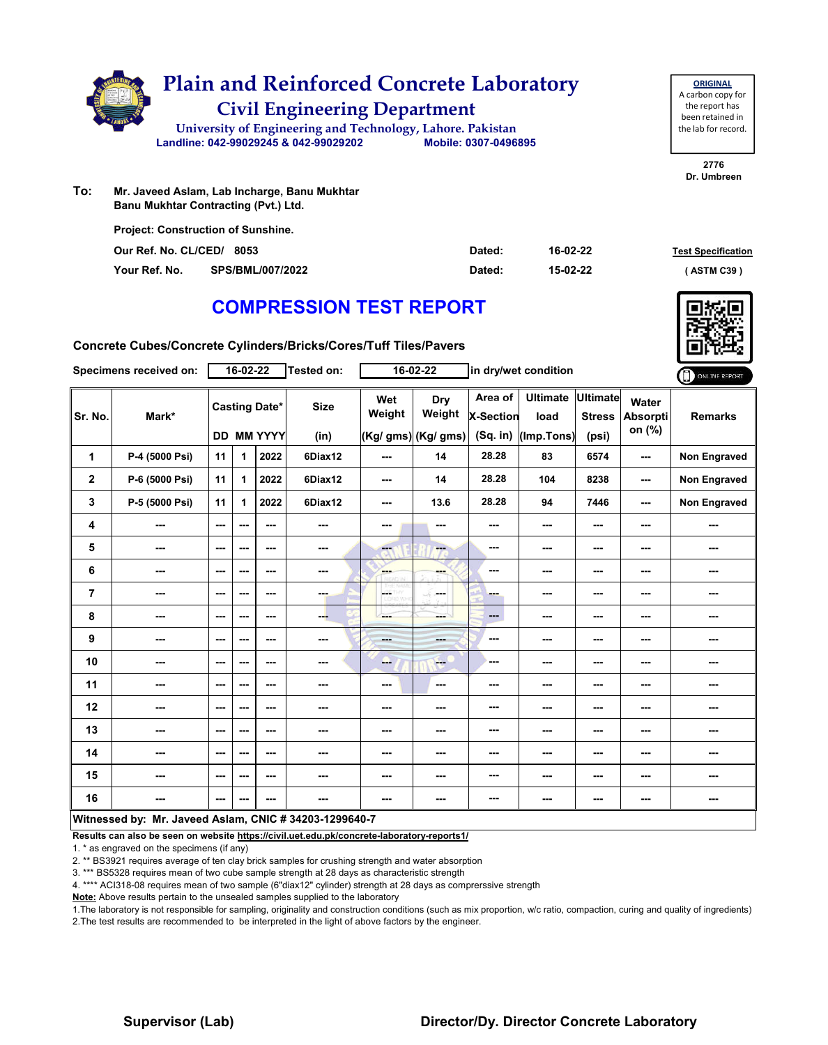

**To: Mr. Javeed Aslam, Lab Incharge, Banu Mukhtar Banu Mukhtar Contracting (Pvt.) Ltd.**

| <b>Project: Construction of Sunshine.</b> |                  |        |          |                           |
|-------------------------------------------|------------------|--------|----------|---------------------------|
| Our Ref. No. CL/CED/ 8053                 |                  | Dated: | 16-02-22 | <b>Test Specification</b> |
| Your Ref. No.                             | SPS/BML/007/2022 | Dated: | 15-02-22 | (ASTM C39)                |

## **COMPRESSION TEST REPORT**

**Concrete Cubes/Concrete Cylinders/Bricks/Cores/Tuff Tiles/Pavers**

| Specimens received on:                                 |                | 16-02-22                 |     |                                           | Tested on:          | 16-02-22          |                                             | in dry/wet condition                      |                                       |                                           |                                    | ONLINE REPORT       |
|--------------------------------------------------------|----------------|--------------------------|-----|-------------------------------------------|---------------------|-------------------|---------------------------------------------|-------------------------------------------|---------------------------------------|-------------------------------------------|------------------------------------|---------------------|
| Sr. No.                                                | Mark*          |                          |     | <b>Casting Date*</b><br><b>DD MM YYYY</b> | <b>Size</b><br>(in) | Wet<br>Weight     | <b>Dry</b><br>Weight<br>(Kg/ gms) (Kg/ gms) | Area of<br><b>X-Section</b><br>$(Sq.$ in) | <b>Ultimate</b><br>load<br>(Imp.Tons) | <b>Ultimate</b><br><b>Stress</b><br>(psi) | Water<br><b>Absorpti</b><br>on (%) | <b>Remarks</b>      |
| 1                                                      | P-4 (5000 Psi) | 11                       | 1   | 2022                                      | 6Diax12             | ---               | 14                                          | 28.28                                     | 83                                    | 6574                                      | ---                                | <b>Non Engraved</b> |
| $\overline{\mathbf{2}}$                                | P-6 (5000 Psi) | 11                       | 1.  | 2022                                      | 6Diax12             | ---               | 14                                          | 28.28                                     | 104                                   | 8238                                      | ---                                | <b>Non Engraved</b> |
| 3                                                      | P-5 (5000 Psi) | 11                       | 1   | 2022                                      | 6Diax12             | ---               | 13.6                                        | 28.28                                     | 94                                    | 7446                                      | ---                                | <b>Non Engraved</b> |
| 4                                                      | ---            | ---                      | --- | ---                                       | ---                 | ---               | ---                                         | ---                                       | ---                                   | ---                                       | ---                                | ---                 |
| 5                                                      | ---            | $--$                     | --- | $\overline{\phantom{a}}$                  | ---                 | $-1$              | ---                                         | $\sim$ $\sim$                             | ---                                   | ---                                       |                                    | ---                 |
| 6                                                      | ---            | ---                      | --- | $\sim$                                    | ---                 | ---               |                                             | ---                                       | ---                                   | ---                                       | ---                                | ---                 |
| $\overline{7}$                                         | $- - -$        | $\sim$ $\sim$            | --- | $\sim$ $\sim$                             | <b>COLL</b>         | part .<br>12.Vi70 | -SS.<br>and a                               | ---                                       | ---                                   | $\overline{\phantom{a}}$                  | ---                                | ---                 |
| 8                                                      | ---            | $--$                     | --- | $\sim$ $\sim$                             | --                  | ---               | ment.                                       | ---                                       | ---                                   | ---                                       | ---                                | ---                 |
| 9                                                      | ---            | $--$                     | --- | $\sim$ $\sim$                             | ---                 | <b>House</b>      | ---                                         | ---                                       | ---                                   | $\overline{\phantom{a}}$                  | ---                                | ---                 |
| 10                                                     | ---            | $--$                     | --- | $\overline{\phantom{a}}$                  | ---                 | ---               | $\frac{1}{1-\frac{1}{2}}$                   | ---                                       | ---                                   | ---                                       | ---                                | ---                 |
| 11                                                     | ---            | $\overline{\phantom{a}}$ | --- | $\overline{\phantom{a}}$                  | ---                 | ---               | $\sim$                                      | ---                                       | ---                                   | ---                                       | ---                                | ---                 |
| 12                                                     | ---            | ---                      | --- | ---                                       | ---                 | ---               | ---                                         | ---                                       | ---                                   | ---                                       | ---                                | ---                 |
| 13                                                     | ---            | $--$                     | --- | $--$                                      | ---                 | ---               | ---                                         | ---                                       | ---                                   | ---                                       |                                    |                     |
| 14                                                     | ---            | $--$                     | --- | ---                                       | ---                 | ---               | ---                                         | ---                                       | ---                                   | ---                                       |                                    | ---                 |
| 15                                                     | ---            | $\cdots$                 | --- | $\sim$                                    | ---                 | ---               | ---                                         | ---                                       | ---                                   | ---                                       | ---                                | ---                 |
| 16                                                     | ---            | $--$                     | --- | $\sim$ $\sim$                             | ---                 | ---               | ---                                         | ---                                       | ---                                   | ---                                       | ---                                | ---                 |
| Witnessed by: Mr. Javeed Aslam. CNIC # 34203-1299640-7 |                |                          |     |                                           |                     |                   |                                             |                                           |                                       |                                           |                                    |                     |

### **Witnessed by: Mr. Javeed Aslam, CNIC # 34203-1299640-7**

**Results can also be seen on website https://civil.uet.edu.pk/concrete-laboratory-reports1/**

1. \* as engraved on the specimens (if any)

2. \*\* BS3921 requires average of ten clay brick samples for crushing strength and water absorption

3. \*\*\* BS5328 requires mean of two cube sample strength at 28 days as characteristic strength

4. \*\*\*\* ACI318-08 requires mean of two sample (6"diax12" cylinder) strength at 28 days as comprerssive strength

**Note:** Above results pertain to the unsealed samples supplied to the laboratory

1.The laboratory is not responsible for sampling, originality and construction conditions (such as mix proportion, w/c ratio, compaction, curing and quality of ingredients) 2.The test results are recommended to be interpreted in the light of above factors by the engineer.



**2776 Dr. Umbreen**

**ORIGINAL** A carbon copy for the report has been retained in the lab for record.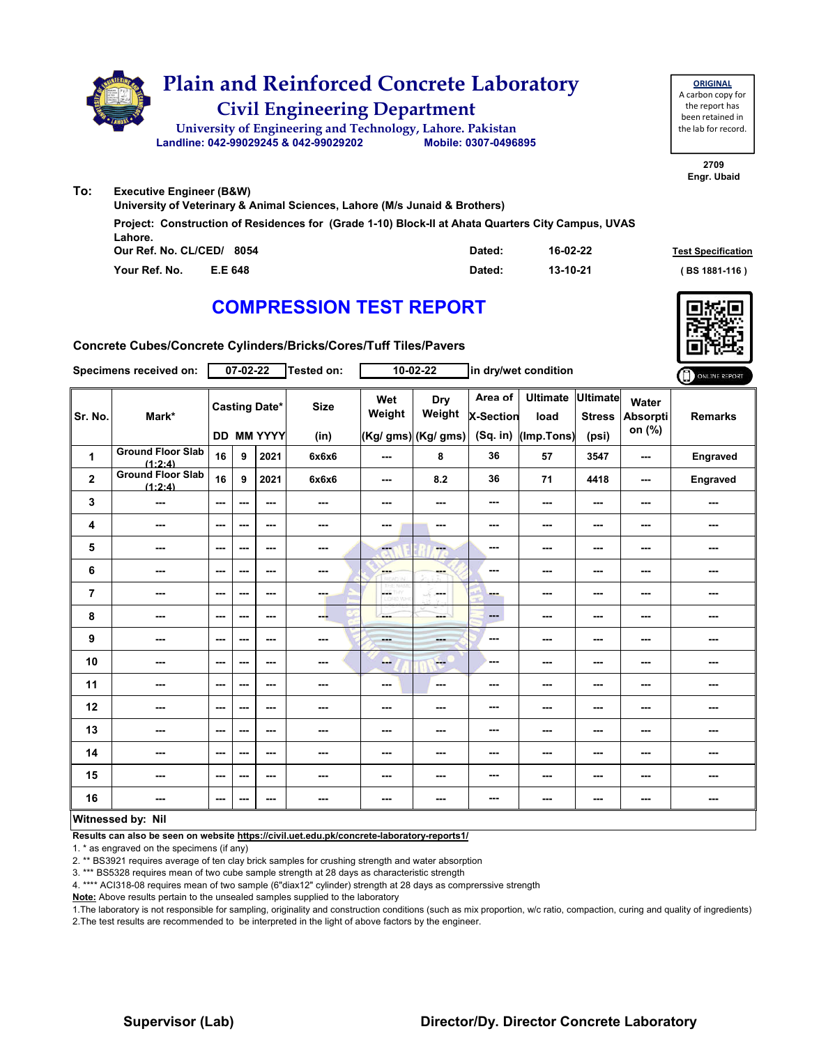

| <b>ORIGINAL</b>     |
|---------------------|
| A carbon copy for   |
| the report has      |
| been retained in    |
| the lab for record. |
|                     |

**2709 Engr. Ubaid**

**Our Ref. No. CL/CED/ Dated: Test Specification 8054 Your Ref. No. E.E 648 Dated: ( BS 1881-116 ) Project: Construction of Residences for (Grade 1-10) Block-II at Ahata Quarters City Campus, UVAS Lahore. Executive Engineer (B&W) University of Veterinary & Animal Sciences, Lahore (M/s Junaid & Brothers) 16-02-22 13-10-21**

# **COMPRESSION TEST REPORT**

**Concrete Cubes/Concrete Cylinders/Bricks/Cores/Tuff Tiles/Pavers**

| Specimens received on:  | 07-02-22                            |      |      | <b>Tested on:</b>                  | $10 - 02 - 22$      |                  | in dry/wet condition                        |                                    |                                       |                                           | ONLINE REPORT               |                |
|-------------------------|-------------------------------------|------|------|------------------------------------|---------------------|------------------|---------------------------------------------|------------------------------------|---------------------------------------|-------------------------------------------|-----------------------------|----------------|
| Sr. No.                 | Mark*                               |      |      | <b>Casting Date*</b><br>DD MM YYYY | <b>Size</b><br>(in) | Wet<br>Weight    | <b>Dry</b><br>Weight<br>(Kg/ gms) (Kg/ gms) | Area of<br>X-Section<br>$(Sq.$ in) | <b>Ultimate</b><br>load<br>(Imp.Tons) | <b>Ultimate</b><br><b>Stress</b><br>(psi) | Water<br>Absorpti<br>on (%) | <b>Remarks</b> |
| 1                       | <b>Ground Floor Slab</b><br>(1:2:4) | 16   | 9    | 2021                               | 6x6x6               | $\sim$ $\sim$    | 8                                           | 36                                 | 57                                    | 3547                                      | $\sim$                      | Engraved       |
| $\overline{\mathbf{2}}$ | <b>Ground Floor Slab</b><br>(1:2:4) | 16   | 9    | 2021                               | 6x6x6               | $\sim$ $\sim$    | 8.2                                         | 36                                 | 71                                    | 4418                                      | $\sim$                      | Engraved       |
| 3                       | ---                                 | $--$ | ---  | ---                                | ---                 | $- - -$          | ---                                         | ---                                | ---                                   | ---                                       | ---                         | ---            |
| 4                       | $\overline{\phantom{a}}$            | $--$ | $--$ | $--$                               | ---                 | $--$             | $\sim$                                      | ---                                | ---                                   | ---                                       | ---                         | ---            |
| 5                       | ---                                 | $--$ | $--$ | $--$                               | ---                 | ---              | ---                                         | ---                                | ---                                   | ---                                       | ---                         | ---            |
| 6                       | ---                                 | ---  | ---  | $--$                               | ---                 | <b>Albert</b>    | ---                                         | ---                                | ---                                   | ---                                       | ---                         | ---            |
| 7                       | ---                                 | ---  | $--$ | ---                                | ---                 | CETHY<br>LORD WH | SS.<br><b>Service</b>                       | <b>STATE</b>                       | ---                                   | ---                                       | $\cdots$                    | ---            |
| 8                       | ---                                 | ---  | ---  | $--$                               | --                  | ---              | ---                                         | $\qquad \qquad \cdots$             | ---                                   | ---                                       | ---                         | ---            |
| 9                       | ---                                 | $--$ | ---  | $--$                               | ---                 | <b>Basic</b>     | ---                                         | $\overline{\phantom{a}}$           | ---                                   | ---                                       | ---                         | ---            |
| 10                      | ---                                 | $--$ | ---  | $--$                               | ---                 | --               | $-$                                         | ---                                | ---                                   | ---                                       | $\sim$                      | ---            |
| 11                      | $\overline{\phantom{a}}$            | ---  | ---  | $--$                               | ---                 | $--$             | $\sim$                                      | ---                                | ---                                   | ---                                       | ---                         | ---            |
| 12                      | ---                                 | ---  | ---  | ---                                |                     | ---              | ---                                         | $- - -$                            | ---                                   | ---                                       |                             | ---            |
| 13                      | ---                                 | $--$ | ---  | ---                                | ---                 | ---              | ---                                         | ---                                | ---                                   | ---                                       |                             | ---            |
| 14                      | ---                                 | $--$ | ---  | $--$                               | ---                 | $\sim$ $\sim$    | ---                                         | $\sim$                             | ---                                   | ---                                       | ---                         | ---            |
| 15                      | ---                                 | ---  | ---  | ---                                | ---                 | ---              | ---                                         | ---                                | ---                                   | ---                                       | ---                         | ---            |
| 16                      | ---                                 | $--$ | ---  | $--$                               | ---                 | ---              | ---                                         | ---                                | ---                                   | ---                                       | $\sim$                      | ---            |
| Witnessed by: Nil       |                                     |      |      |                                    |                     |                  |                                             |                                    |                                       |                                           |                             |                |

### **Witnessed by: Nil**

**Results can also be seen on website https://civil.uet.edu.pk/concrete-laboratory-reports1/**

1. \* as engraved on the specimens (if any)

2. \*\* BS3921 requires average of ten clay brick samples for crushing strength and water absorption

3. \*\*\* BS5328 requires mean of two cube sample strength at 28 days as characteristic strength

4. \*\*\*\* ACI318-08 requires mean of two sample (6"diax12" cylinder) strength at 28 days as comprerssive strength

**Note:** Above results pertain to the unsealed samples supplied to the laboratory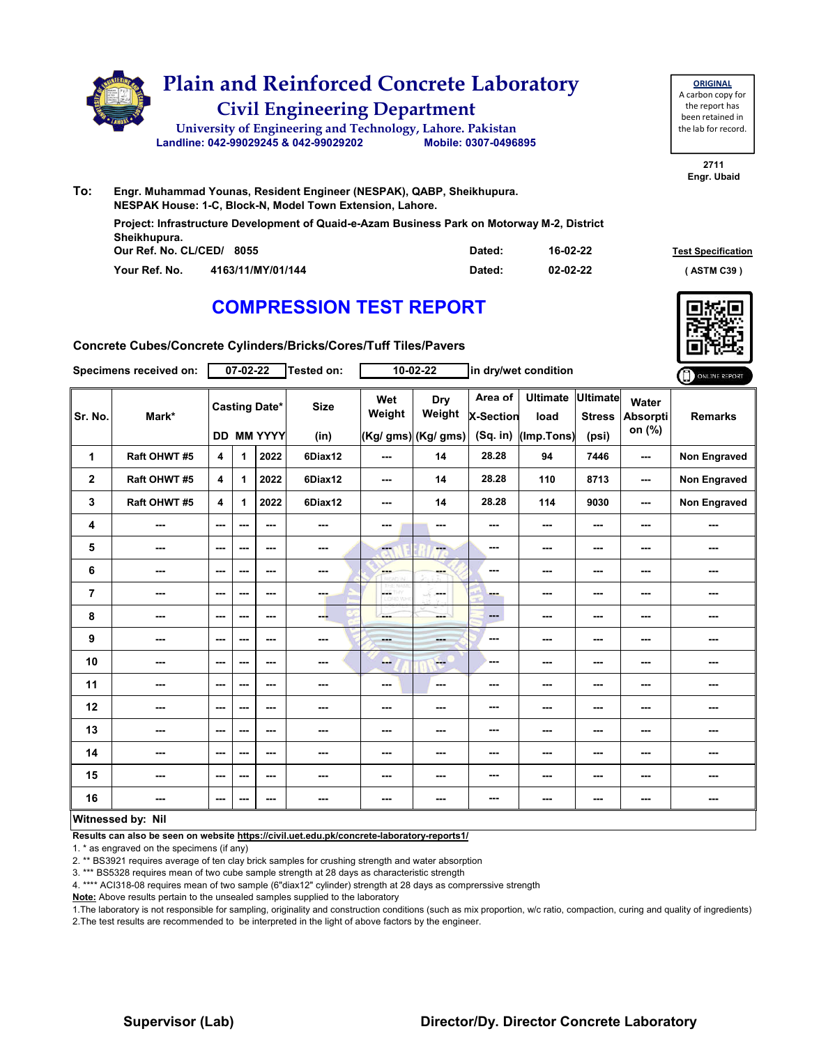

**ORIGINAL** A carbon copy for the report has been retained in the lab for record.

> **2711 Engr. Ubaid**

| To: | Engr. Muhammad Younas, Resident Engineer (NESPAK), QABP, Sheikhupura.<br>NESPAK House: 1-C, Block-N, Model Town Extension, Lahore. |                   |        |          |                         |  |  |  |  |  |  |
|-----|------------------------------------------------------------------------------------------------------------------------------------|-------------------|--------|----------|-------------------------|--|--|--|--|--|--|
|     | Project: Infrastructure Development of Quaid-e-Azam Business Park on Motorway M-2, District<br>Sheikhupura.                        |                   |        |          |                         |  |  |  |  |  |  |
|     | Our Ref. No. CL/CED/ 8055                                                                                                          |                   | Dated: | 16-02-22 | <b>Test Specificati</b> |  |  |  |  |  |  |
|     | Your Ref. No.                                                                                                                      | 4163/11/MY/01/144 | Dated: | 02-02-22 | (ASTM C39)              |  |  |  |  |  |  |

## **COMPRESSION TEST REPORT**



**Test Specification** 

**Concrete Cubes/Concrete Cylinders/Bricks/Cores/Tuff Tiles/Pavers**

| Specimens received on: | $07 - 02 - 22$ |                          |                                    | <b>Tested on:</b> | $10 - 02 - 22$      |                          | in dry/wet condition                        |                                  |                                       |                                           | ONLINE REPORT                      |                     |
|------------------------|----------------|--------------------------|------------------------------------|-------------------|---------------------|--------------------------|---------------------------------------------|----------------------------------|---------------------------------------|-------------------------------------------|------------------------------------|---------------------|
| Sr. No.                | Mark*          |                          | <b>Casting Date*</b><br>DD MM YYYY |                   | <b>Size</b><br>(in) | Wet<br>Weight            | <b>Dry</b><br>Weight<br>(Kg/ gms) (Kg/ gms) | Area of<br>X-Section<br>(Sq. in) | <b>Ultimate</b><br>load<br>(Imp.Tons) | <b>Ultimate</b><br><b>Stress</b><br>(psi) | Water<br><b>Absorpti</b><br>on (%) | <b>Remarks</b>      |
| 1                      | Raft OHWT #5   | 4                        | 1                                  | 2022              | 6Diax12             | $- - -$                  | 14                                          | 28.28                            | 94                                    | 7446                                      | ---                                | <b>Non Engraved</b> |
| $\mathbf 2$            | Raft OHWT #5   | $\overline{\mathbf{4}}$  | 1                                  | 2022              | 6Diax12             | $\overline{\phantom{a}}$ | 14                                          | 28.28                            | 110                                   | 8713                                      | ---                                | Non Engraved        |
| 3                      | Raft OHWT #5   | $\overline{4}$           | 1                                  | 2022              | 6Diax12             | ---                      | 14                                          | 28.28                            | 114                                   | 9030                                      | $\overline{\phantom{a}}$           | Non Engraved        |
| 4                      | ---            | $\sim$                   | ---                                | ---               | ---                 | $\sim$ $\sim$            | ---                                         | ---                              | ---                                   | ---                                       | ---                                | ---                 |
| 5                      | ---            | $\overline{\phantom{a}}$ | ---                                | ---               | ---                 | $-1$                     | ---                                         | ---                              | ---                                   | ---                                       | ---                                | ---                 |
| 6                      | ---            | $\overline{\phantom{a}}$ | ---                                | ---               | ---                 | <b>SHOP</b>              | ---                                         | ---                              | ---                                   | ---                                       | ---                                |                     |
| $\overline{7}$         | ---            | $\sim$                   | $- - -$                            | ---               | ---                 | LGS.<br><b>DAYS</b>      | محمد                                        | ---                              | ---                                   | $\overline{\phantom{a}}$                  | $\sim$ $\sim$                      | ---                 |
| 8                      | ---            | $\overline{\phantom{a}}$ | ---                                | ---               | ---                 | ---                      | ---                                         | ---                              | ---                                   | $\overline{\phantom{a}}$                  | ---                                | ---                 |
| 9                      | ---            | $\overline{\phantom{a}}$ | ---                                | ---               | ---                 | <b>House</b>             | ---                                         | ---                              | ---                                   | ---                                       | ---                                |                     |
| 10                     | ---            | $\overline{\phantom{a}}$ | ---                                | ---               | ---                 | --                       | $-$                                         | ---                              | ---                                   | ---                                       | ---                                |                     |
| 11                     | ---            | $-$                      | ---                                | $\sim$ $\sim$     | ---                 | ---                      | ---                                         | ---                              | ---                                   | ---                                       | ---                                | ---                 |
| 12                     | ---            | ---                      | ---                                | ---               | ---                 | ---                      | ---                                         | ---                              | ---                                   | ---                                       | ---                                | ---                 |
| 13                     | ---            | ---                      | ---                                | ---               | ---                 | ---                      | ---                                         | ---                              | ---                                   | ---                                       | ---                                | ---                 |
| 14                     | ---            | ---                      | ---                                | ---               | ---                 | ---                      | ---                                         | ---                              | ---                                   | ---                                       | ---                                | ---                 |
| 15                     | ---            | $-$                      | ---                                | ---               | ---                 | ---                      | ---                                         | ---                              | $\sim$                                | ---                                       | ---                                | ---                 |
| 16                     | ---            | ---                      | ---                                | ---               |                     | ---                      | ---                                         | ---                              | ---                                   | ---                                       | $\overline{\phantom{a}}$           | ---                 |
| Witnessed by: Nil      |                |                          |                                    |                   |                     |                          |                                             |                                  |                                       |                                           |                                    |                     |

### **Witnessed by: Nil**

**Results can also be seen on website https://civil.uet.edu.pk/concrete-laboratory-reports1/**

1. \* as engraved on the specimens (if any)

2. \*\* BS3921 requires average of ten clay brick samples for crushing strength and water absorption

3. \*\*\* BS5328 requires mean of two cube sample strength at 28 days as characteristic strength

4. \*\*\*\* ACI318-08 requires mean of two sample (6"diax12" cylinder) strength at 28 days as comprerssive strength

**Note:** Above results pertain to the unsealed samples supplied to the laboratory